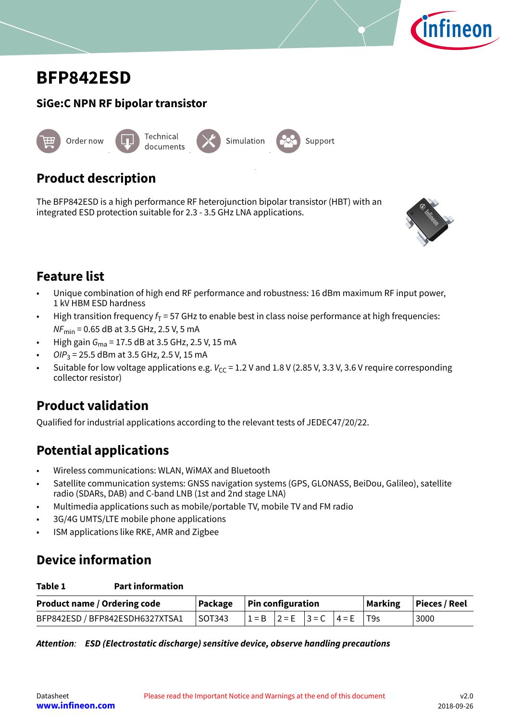

# <span id="page-0-0"></span>**BFP842ESD**

# **SiGe:C NPN RF bipolar transistor** Technical



## **Product description**

The BFP842ESD is a high performance RF heterojunction bipolar transistor (HBT) with an integrated ESD protection suitable for 2.3 - 3.5 GHz LNA applications.



## **Feature list**

• Unique combination of high end RF performance and robustness: 16 dBm maximum RF input power, 1 kV HBM ESD hardness

Support

- High transition frequency  $f<sub>T</sub> = 57$  GHz to enable best in class noise performance at high frequencies:  $NF_{\text{min}} = 0.65$  dB at 3.5 GHz, 2.5 V, 5 mA
- High gain  $G_{\text{ma}}$  = 17.5 dB at 3.5 GHz, 2.5 V, 15 mA
- OIP<sub>3</sub> = 25.5 dBm at 3.5 GHz, 2.5 V, 15 mA
- Suitable for low voltage applications e.g.  $V_{CC}$  = 1.2 V and 1.8 V (2.85 V, 3.3 V, 3.6 V require corresponding collector resistor)

## **Product validation**

Qualified for industrial applications according to the relevant tests of JEDEC47/20/22.

## **Potential applications**

- Wireless communications: WLAN, WiMAX and Bluetooth
- Satellite communication systems: GNSS navigation systems (GPS, GLONASS, BeiDou, Galileo), satellite radio (SDARs, DAB) and C-band LNB (1st and 2nd stage LNA)
- Multimedia applications such as mobile/portable TV, mobile TV and FM radio
- 3G/4G UMTS/LTE mobile phone applications
- ISM applications like RKE, AMR and Zigbee

## **Device information**

| <b>Product name / Ordering code</b> |            | $\vert$ Package $\vert$ Pin configuration |                                         |  |  | Marking   Pieces / Reel |
|-------------------------------------|------------|-------------------------------------------|-----------------------------------------|--|--|-------------------------|
| BFP842ESD / BFP842ESDH6327XTSA1     | $ $ SOT343 |                                           | $ 1 = B$ $ 2 = E$ $ 3 = C$ $ 4 = E$ T9s |  |  | 3000                    |

|  |  | Attention: ESD (Electrostatic discharge) sensitive device, observe handling precautions |
|--|--|-----------------------------------------------------------------------------------------|
|  |  |                                                                                         |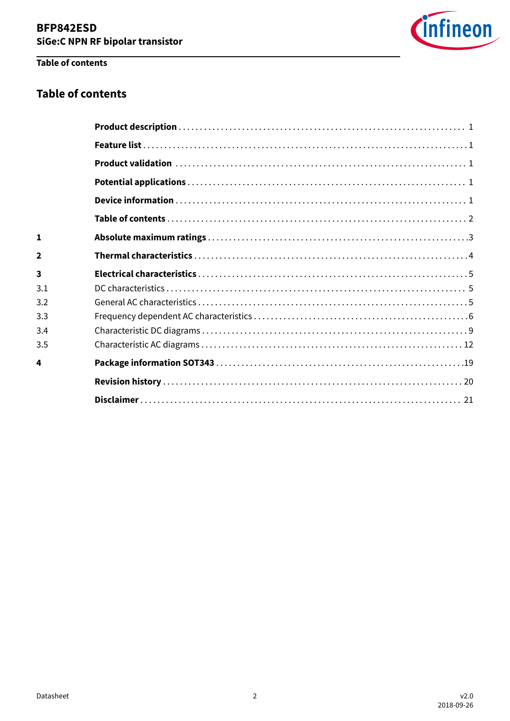

## Table of contents

### **Table of contents**

| $\mathbf{1}$            |  |
|-------------------------|--|
| $\mathbf{2}$            |  |
| $\overline{\mathbf{3}}$ |  |
| 3.1                     |  |
| 3.2                     |  |
| 3.3                     |  |
| 3.4                     |  |
| 3.5                     |  |
| 4                       |  |
|                         |  |
|                         |  |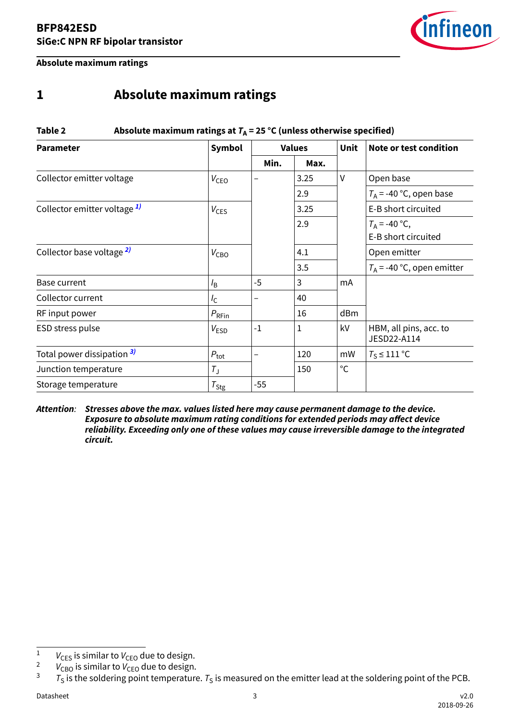

<span id="page-2-0"></span>**Absolute maximum ratings**

## **1 Absolute maximum ratings**

## **Table 2** Absolute maximum ratings at  $T_A = 25 \text{ °C}$  (unless otherwise specified) **Parameter Symbol Values Unit Note or test condition Min. Max.** Collector emitter voltage  $|V_{\text{CEO}}|$   $|3.25|$   $|V|$  Open base 2.9  $|T_A = -40 \degree C$ , open base Collector emitter voltage  $1$   $|V_{CES}|$   $|3.25|$   $|E-B$  short circuited 2.9  $|T_A = -40 \degree C$ , E-B short circuited Collector base voltage  $\frac{2}{7}$   $|V_{CBO}|$   $|4.1$   $|$  Open emitter 3.5  $|T_A = -40$  °C, open emitter Base current  $I_B$   $\begin{array}{|c|c|c|c|c|} \hline \end{array}$   $\begin{array}{|c|c|c|c|c|} \hline \end{array}$   $\begin{array}{|c|c|c|c|c|} \hline \end{array}$   $\begin{array}{|c|c|c|c|c|} \hline \end{array}$   $\begin{array}{|c|c|c|c|c|} \hline \end{array}$   $\begin{array}{|c|c|c|c|c|} \hline \end{array}$   $\begin{array}{|c|c|c|c|c|} \hline \end{array}$ Collector current  $|I_{\rm C}| = |$  –  $|$  40 RF input power  $P_{\text{RFin}}$   $16$  dBm ESD stress pulse  $V_{\text{FSD}}$   $-1$   $1$   $\vert$   $kV$   $\vert$  HBM, all pins, acc. to JESD22-A114 Total power dissipation <sup>3)</sup>  $P_{\text{tot}}$   $\vert P_{\text{tot}} \vert$   $\vert$  120  $\vert$  mW  $\vert T_{\text{S}} \le 111 \text{ °C}$ Junction temperature  $|T_{\rm J}|$   $|150|$  °C Storage temperature  $|T_{\text{Stg}}|$  -55

**Attention**: **Stresses above the max. values listed here may cause permanent damage to the device. Exposure to absolute maximum rating conditions for extended periods may affect device reliability. Exceeding only one of these values may cause irreversible damage to the integrated circuit.**

<sup>&</sup>lt;sup>1</sup>  $V_{CES}$  is similar to  $V_{CEO}$  due to design.<br><sup>2</sup>  $V_{CES}$  is similar to  $V_{CES}$  due to design.

<sup>&</sup>lt;sup>2</sup>  $V_{\text{CBO}}$  is similar to  $V_{\text{CEO}}$  due to design.<br><sup>3</sup>  $\tau$  is the soldering point temperature

 $T_S$  is the soldering point temperature.  $T_S$  is measured on the emitter lead at the soldering point of the PCB.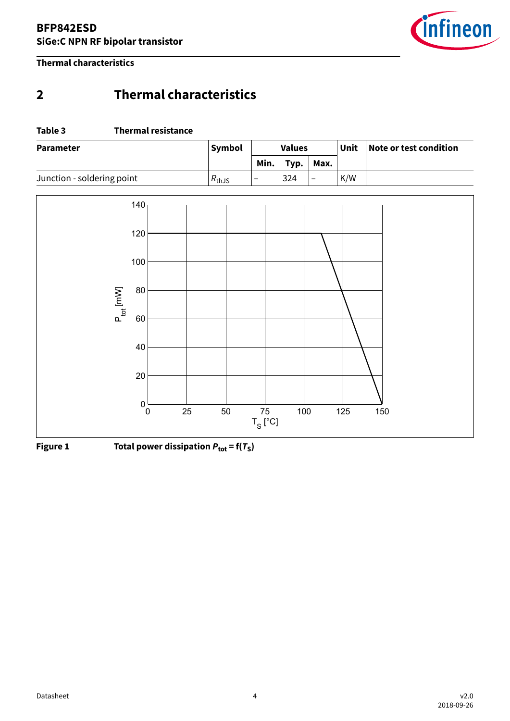

<span id="page-3-0"></span>**Thermal characteristics**

## **2 Thermal characteristics**

#### **Table 3 Thermal resistance**

| <b>Parameter</b>           | <b>Symbol</b>     | <b>Values</b>            |      |                          | Unit | Note or test condition |
|----------------------------|-------------------|--------------------------|------|--------------------------|------|------------------------|
|                            |                   | Min.                     | Typ. | Max.                     |      |                        |
| Junction - soldering point | $R_{\text{thJS}}$ | $\overline{\phantom{0}}$ | 324  | $\overline{\phantom{a}}$ | K/W  |                        |



**Figure 1** Total power dissipation  $P_{\text{tot}} = f(T_S)$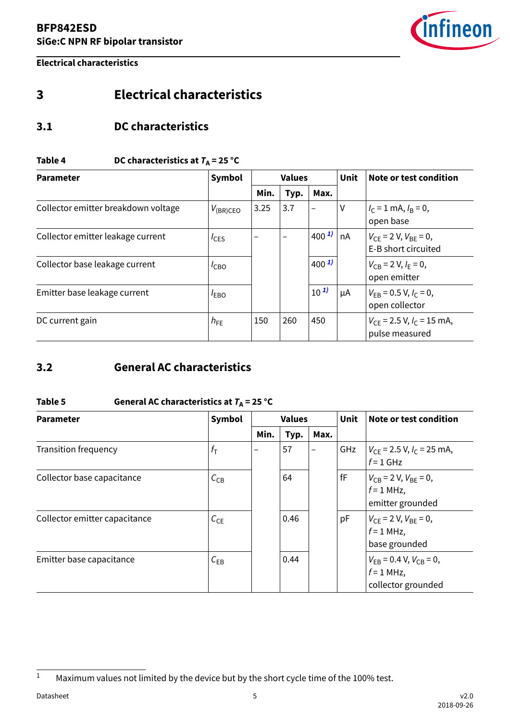

<span id="page-4-0"></span>**Electrical characteristics**

## **3 Electrical characteristics**

### **3.1 DC characteristics**

#### **Table 4** DC characteristics at  $T_A = 25 \text{ °C}$

| <b>Parameter</b>                    | Symbol           |      | <b>Unit</b><br><b>Values</b> |                      |    | Note or test condition                               |
|-------------------------------------|------------------|------|------------------------------|----------------------|----|------------------------------------------------------|
|                                     |                  | Min. | Typ.                         | Max.                 |    |                                                      |
| Collector emitter breakdown voltage | $V_{(BR)CEO}$    | 3.25 | 3.7                          |                      | ٧  | $I_C = 1$ mA, $I_B = 0$ ,<br>open base               |
| Collector emitter leakage current   | $I_{\text{CES}}$ |      |                              | $1400$ <sup>1)</sup> | nA | $V_{CF}$ = 2 V, $V_{BF}$ = 0,<br>E-B short circuited |
| Collector base leakage current      | I <sub>CBO</sub> |      |                              | $400^{1}$            |    | $V_{CB} = 2 V, I_F = 0,$<br>open emitter             |
| Emitter base leakage current        | $I_{EBO}$        |      |                              | $10^{1}$             | μA | $V_{EB} = 0.5 V, I_C = 0,$<br>open collector         |
| DC current gain                     | $h_{FE}$         | 150  | 260                          | 450                  |    | $V_{CE}$ = 2.5 V, $I_C$ = 15 mA,<br>pulse measured   |

## **3.2 General AC characteristics**

#### Table 5 **General AC characteristics at**  $T_A$  **= 25 °C**

| <b>Parameter</b>              | Symbol<br><b>Values</b> |      |      | <b>Unit</b> | Note or test condition |                                                                        |
|-------------------------------|-------------------------|------|------|-------------|------------------------|------------------------------------------------------------------------|
|                               |                         | Min. | Typ. | Max.        |                        |                                                                        |
| <b>Transition frequency</b>   | $f_{\mathsf{T}}$        |      | 57   | —           | GHz                    | $V_{CE}$ = 2.5 V, $I_C$ = 25 mA,<br>$f = 1$ GHz                        |
| Collector base capacitance    | $C_{CB}$                |      | 64   |             | fF                     | $V_{CB}$ = 2 V, $V_{BE}$ = 0,<br>$f = 1$ MHz,<br>emitter grounded      |
| Collector emitter capacitance | $C_{CE}$                |      | 0.46 |             | pF                     | $V_{CF}$ = 2 V, $V_{BF}$ = 0,<br>$f = 1$ MHz,<br>base grounded         |
| Emitter base capacitance      | $C_{EB}$                |      | 0.44 |             |                        | $V_{FB} = 0.4$ V, $V_{CB} = 0$ ,<br>$f = 1$ MHz,<br>collector grounded |

<sup>&</sup>lt;sup>1</sup> Maximum values not limited by the device but by the short cycle time of the 100% test.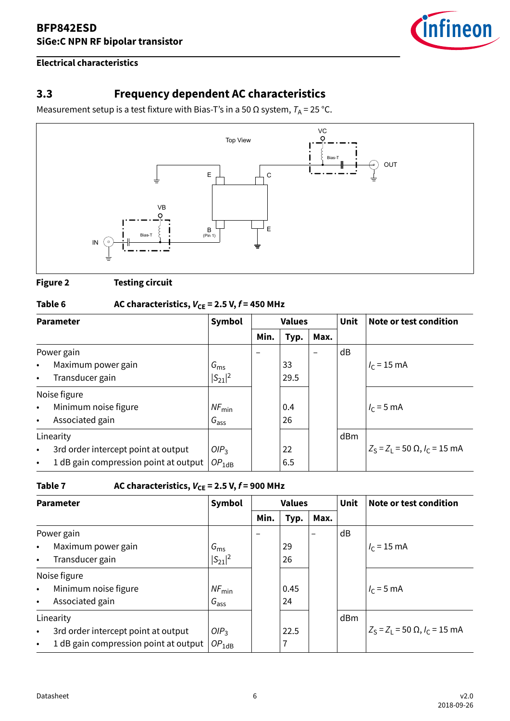

#### <span id="page-5-0"></span>**Electrical characteristics**

## **3.3 Frequency dependent AC characteristics**

Measurement setup is a test fixture with Bias-T's in a 50  $\Omega$  system,  $T_A$  = 25 °C.



**Figure 2 Testing circuit**

## **Table 6** AC characteristics,  $V_{CE} = 2.5$  V,  $f = 450$  MHz

| <b>Parameter</b> |                                       | Symbol            | <b>Values</b> |      |      | <b>Unit</b> | Note or test condition                          |
|------------------|---------------------------------------|-------------------|---------------|------|------|-------------|-------------------------------------------------|
|                  |                                       |                   | Min.          | Typ. | Max. |             |                                                 |
|                  | Power gain                            |                   |               |      |      | dB          |                                                 |
| $\bullet$        | Maximum power gain                    | $G_{\rm ms}$      |               | 33   |      |             | $I_c = 15$ mA                                   |
| $\bullet$        | Transducer gain                       | $ S_{21} ^2$      |               | 29.5 |      |             |                                                 |
|                  | Noise figure                          |                   |               |      |      |             |                                                 |
| $\bullet$        | Minimum noise figure                  | $NF_{\text{min}}$ |               | 0.4  |      |             | $I_c = 5$ mA                                    |
| $\bullet$        | Associated gain                       | $G_{\text{ass}}$  |               | 26   |      |             |                                                 |
|                  | Linearity                             |                   |               |      |      | dBm         |                                                 |
| $\bullet$        | 3rd order intercept point at output   | OIP <sub>3</sub>  |               | 22   |      |             | $Z_S = Z_1 = 50 \Omega$ , $I_C = 15 \text{ mA}$ |
| $\bullet$        | 1 dB gain compression point at output | $OP_{1dB}$        |               | 6.5  |      |             |                                                 |

#### Table 7  $\qquad$  AC characteristics,  $V_{CE} = 2.5$  V,  $f = 900$  MHz

| <b>Parameter</b> |                                       | Symbol            | <b>Values</b> |      |      | <b>Unit</b> | Note or test condition                          |
|------------------|---------------------------------------|-------------------|---------------|------|------|-------------|-------------------------------------------------|
|                  |                                       |                   | Min.          | Typ. | Max. |             |                                                 |
|                  | Power gain                            |                   |               |      | -    | dB          |                                                 |
| $\bullet$        | Maximum power gain                    | $G_{\rm ms}$      |               | 29   |      |             | $I_c = 15$ mA                                   |
| $\bullet$        | Transducer gain                       | $ S_{21} ^2$      |               | 26   |      |             |                                                 |
|                  | Noise figure                          |                   |               |      |      |             |                                                 |
| $\bullet$        | Minimum noise figure                  | $NF_{\text{min}}$ |               | 0.45 |      |             | $I_c = 5$ mA                                    |
| $\bullet$        | Associated gain                       | $G_{\text{ass}}$  |               | 24   |      |             |                                                 |
|                  | Linearity                             |                   |               |      |      | dBm         |                                                 |
| $\bullet$        | 3rd order intercept point at output   | OIP <sub>3</sub>  |               | 22.5 |      |             | $Z_S = Z_1 = 50 \Omega$ , $I_C = 15 \text{ mA}$ |
| $\bullet$        | 1 dB gain compression point at output | $OP_{1dB}$        |               | 7    |      |             |                                                 |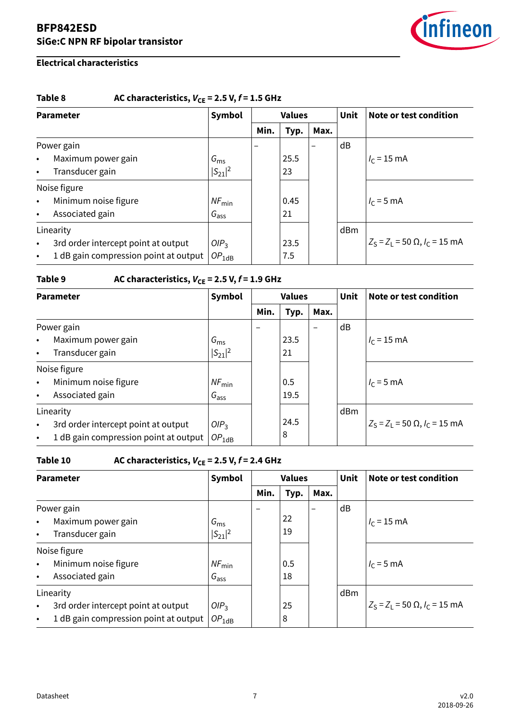

#### **Electrical characteristics**

#### Table 8  $AC characteristics, V_{CE} = 2.5 V, f = 1.5 GHz$

| <b>Parameter</b> |                                       | Symbol            | <b>Values</b> |      |                          | <b>Unit</b> | Note or test condition                          |
|------------------|---------------------------------------|-------------------|---------------|------|--------------------------|-------------|-------------------------------------------------|
|                  |                                       |                   | Min.          | Typ. | Max.                     |             |                                                 |
|                  | Power gain                            |                   |               |      | $\overline{\phantom{0}}$ | dB          |                                                 |
| $\bullet$        | Maximum power gain                    | $G_{\rm ms}$      |               | 25.5 |                          |             | $I_c = 15$ mA                                   |
| $\bullet$        | Transducer gain                       | $ S_{21} ^2$      |               | 23   |                          |             |                                                 |
|                  | Noise figure                          |                   |               |      |                          |             |                                                 |
| $\bullet$        | Minimum noise figure                  | $NF_{\text{min}}$ |               | 0.45 |                          |             | $I_c = 5$ mA                                    |
| $\bullet$        | Associated gain                       | $G_{\text{ass}}$  |               | 21   |                          |             |                                                 |
|                  | Linearity                             |                   |               |      |                          | dBm         |                                                 |
| $\bullet$        | 3rd order intercept point at output   | OIP <sub>3</sub>  |               | 23.5 |                          |             | $Z_S = Z_1 = 50 \Omega$ , $I_C = 15 \text{ mA}$ |
| $\bullet$        | 1 dB gain compression point at output | $OP_{1dB}$        |               | 7.5  |                          |             |                                                 |

#### Table 9  $AC characteristics, V_{CE} = 2.5 V, f = 1.9 GHz$

| <b>Parameter</b> |                                       | Symbol            |      | <b>Values</b> |                          |     | Note or test condition                          |
|------------------|---------------------------------------|-------------------|------|---------------|--------------------------|-----|-------------------------------------------------|
|                  |                                       |                   | Min. | Typ.          | Max.                     |     |                                                 |
|                  | Power gain                            |                   |      |               | $\overline{\phantom{m}}$ | dB  |                                                 |
| $\bullet$        | Maximum power gain                    | $G_{\rm ms}$      |      | 23.5          |                          |     | $I_c = 15$ mA                                   |
| $\bullet$        | Transducer gain                       | $ S_{21} ^2$      |      | 21            |                          |     |                                                 |
|                  | Noise figure                          |                   |      |               |                          |     |                                                 |
| $\bullet$        | Minimum noise figure                  | $NF_{\text{min}}$ |      | 0.5           |                          |     | $I_c = 5$ mA                                    |
| $\bullet$        | Associated gain                       | $G_{\text{ass}}$  |      | 19.5          |                          |     |                                                 |
|                  | Linearity                             |                   |      |               |                          | dBm |                                                 |
| $\bullet$        | 3rd order intercept point at output   | OIP <sub>3</sub>  |      | 24.5          |                          |     | $Z_S = Z_1 = 50 \Omega$ , $I_C = 15 \text{ mA}$ |
| $\bullet$        | 1 dB gain compression point at output | $OP_{1dB}$        |      | 8             |                          |     |                                                 |

## **Table 10** AC characteristics,  $V_{CE} = 2.5$  V,  $f = 2.4$  GHz

| <b>Parameter</b> |                                       | Symbol            | <b>Values</b> |      |                          | <b>Unit</b> | Note or test condition                          |
|------------------|---------------------------------------|-------------------|---------------|------|--------------------------|-------------|-------------------------------------------------|
|                  |                                       |                   | Min.          | Typ. | Max.                     |             |                                                 |
|                  | Power gain                            |                   |               |      | $\overline{\phantom{0}}$ | dB          |                                                 |
| $\bullet$        | Maximum power gain                    | $G_{\rm ms}$      |               | 22   |                          |             | $I_c = 15$ mA                                   |
| $\bullet$        | Transducer gain                       | $ S_{21} ^2$      |               | 19   |                          |             |                                                 |
|                  | Noise figure                          |                   |               |      |                          |             |                                                 |
| $\bullet$        | Minimum noise figure                  | $NF_{\text{min}}$ |               | 0.5  |                          |             | $I_c = 5$ mA                                    |
| $\bullet$        | Associated gain                       | $G_{\text{ass}}$  |               | 18   |                          |             |                                                 |
|                  | Linearity                             |                   |               |      |                          | dBm         |                                                 |
| $\bullet$        | 3rd order intercept point at output   | OIP <sub>3</sub>  |               | 25   |                          |             | $Z_S = Z_1 = 50 \Omega$ , $I_C = 15 \text{ mA}$ |
| $\bullet$        | 1 dB gain compression point at output | $OP_{1dB}$        |               | 8    |                          |             |                                                 |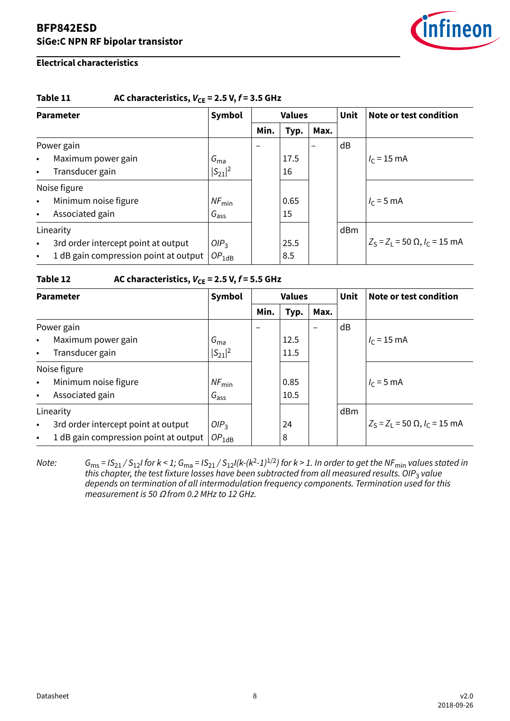

#### **Electrical characteristics**

#### Table 11  $AC characteristics, V_{CE} = 2.5 V, f = 3.5 GHz$

| <b>Parameter</b> |                                       | Symbol            | <b>Values</b> |      |                          | <b>Unit</b> | Note or test condition                          |
|------------------|---------------------------------------|-------------------|---------------|------|--------------------------|-------------|-------------------------------------------------|
|                  |                                       |                   | Min.          | Typ. | Max.                     |             |                                                 |
| Power gain       |                                       |                   |               |      | $\overline{\phantom{0}}$ | dB          |                                                 |
| $\bullet$        | Maximum power gain                    | $G_{\text{ma}}$   |               | 17.5 |                          |             | $I_c = 15$ mA                                   |
| $\bullet$        | Transducer gain                       | $ S_{21} ^2$      |               | 16   |                          |             |                                                 |
|                  | Noise figure                          |                   |               |      |                          |             |                                                 |
| $\bullet$        | Minimum noise figure                  | $NF_{\text{min}}$ |               | 0.65 |                          |             | $I_c = 5$ mA                                    |
| $\bullet$        | Associated gain                       | $G_{\text{ass}}$  |               | 15   |                          |             |                                                 |
| Linearity        |                                       |                   |               |      |                          | dBm         |                                                 |
| $\bullet$        | 3rd order intercept point at output   | OIP <sub>3</sub>  |               | 25.5 |                          |             | $Z_S = Z_1 = 50 \Omega$ , $I_C = 15 \text{ mA}$ |
| $\bullet$        | 1 dB gain compression point at output | $OP_{1dB}$        |               | 8.5  |                          |             |                                                 |

#### Table 12  $AC$  characteristics,  $V_{CE} = 2.5 V, f = 5.5 GHz$

| <b>Parameter</b> |                                       | Symbol            | <b>Values</b> |      |                                  | <b>Unit</b> | <b>Note or test condition</b>     |
|------------------|---------------------------------------|-------------------|---------------|------|----------------------------------|-------------|-----------------------------------|
|                  |                                       |                   | Min.          | Typ. | Max.<br>$\overline{\phantom{0}}$ | dB          |                                   |
| Power gain       |                                       |                   |               |      |                                  |             |                                   |
| $\bullet$        | Maximum power gain                    | $G_{ma}$          |               | 12.5 |                                  |             | $I_c = 15$ mA                     |
| $\bullet$        | Transducer gain                       | $ S_{21} ^2$      |               | 11.5 |                                  |             |                                   |
|                  | Noise figure                          |                   |               |      |                                  |             |                                   |
| $\bullet$        | Minimum noise figure                  | $NF_{\text{min}}$ |               | 0.85 |                                  |             | $I_c = 5$ mA                      |
| $\bullet$        | Associated gain                       | $G_{\text{ass}}$  |               | 10.5 |                                  |             |                                   |
| Linearity        |                                       |                   |               |      |                                  | dBm         |                                   |
| $\bullet$        | 3rd order intercept point at output   | OIP <sub>3</sub>  |               | 24   |                                  |             | $Z_S = Z_1 = 50$ Ω, $I_C = 15$ mA |
| $\bullet$        | 1 dB gain compression point at output | $OP_{1dB}$        |               | 8    |                                  |             |                                   |

Note:  $G_{\rm ms}$  = IS $_{21}/$  S $_{12}$ I for k < 1;  $G_{\rm ma}$  = IS $_{21}/$  S $_{12}$ I(k-(k²-1) $^{1/2}$ ) for k > 1. In order to get the NF $_{\rm min}$  values stated in this chapter, the test fixture losses have been subtracted from all measured results. OIP<sub>3</sub> value depends on termination of all intermodulation frequency components. Termination used for this measurement is 50  $\Omega$  from 0.2 MHz to 12 GHz.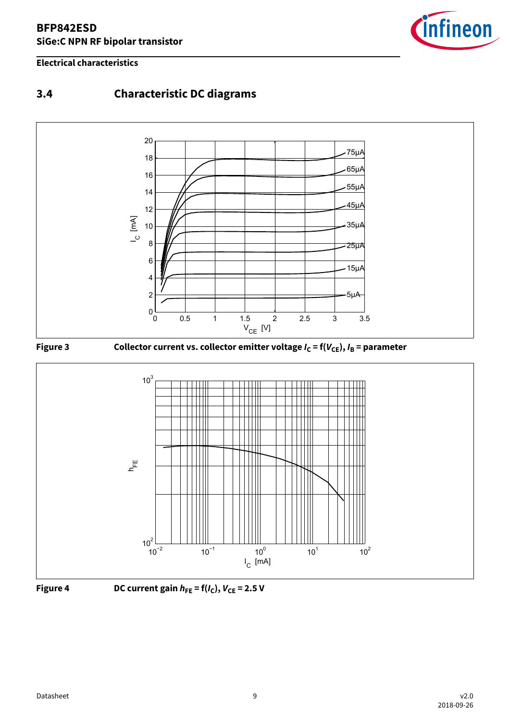#### <span id="page-8-0"></span>**Electrical characteristics**



## **3.4 Characteristic DC diagrams**









**Figure 4** DC current gain  $h_{FE} = f(I_C)$ ,  $V_{CE} = 2.5$  V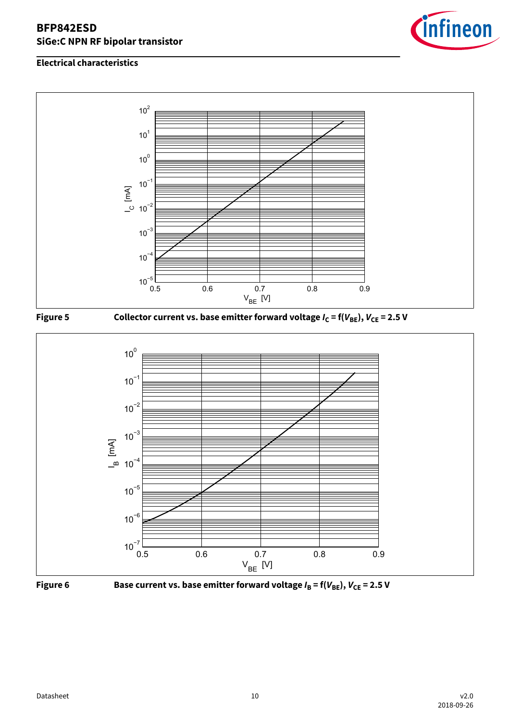





**Figure 5** Collector current vs. base emitter forward voltage  $I_C = f(V_{BE})$ ,  $V_{CE} = 2.5 V$ 





**Figure 6** Base current vs. base emitter forward voltage  $I_B = f(V_{BE})$ ,  $V_{CE} = 2.5 V$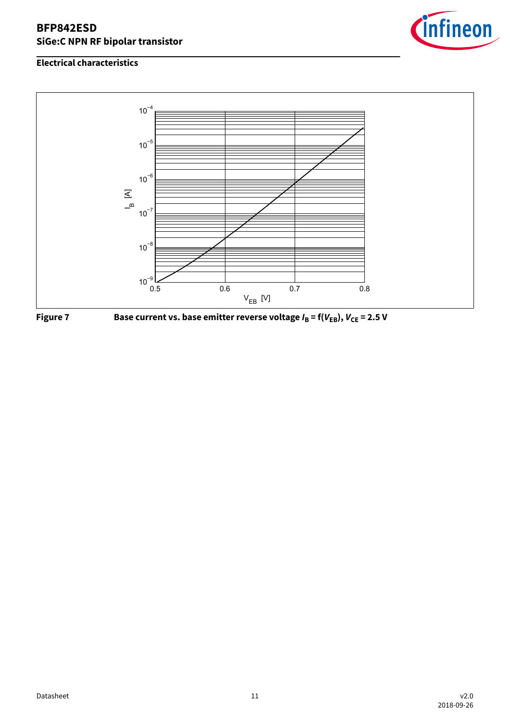





**Figure 7** Base current vs. base emitter reverse voltage  $I_B = f(V_{EB})$ ,  $V_{CE} = 2.5 V$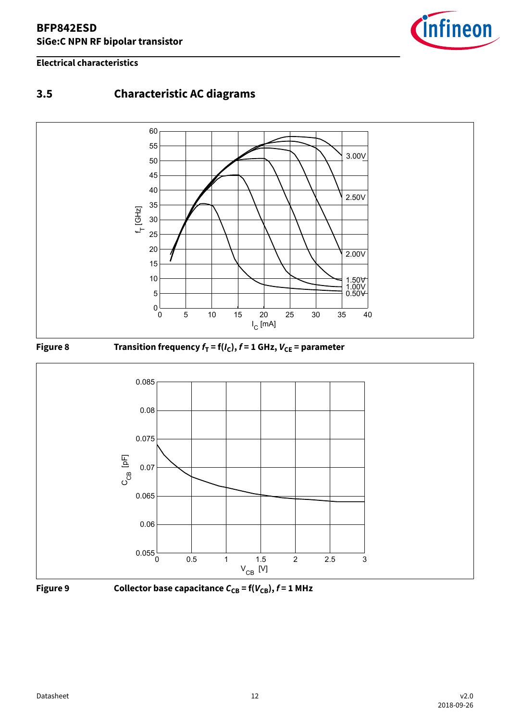#### <span id="page-11-0"></span>**Electrical characteristics**



## **3.5 Characteristic AC diagrams**



#### **Figure 8** Transition frequency  $f_T = f(I_C)$ ,  $f = 1$  GHz,  $V_{CE}$  = parameter





**Figure 9 Collector base capacitance**  $C_{CB}$  **= f(** $V_{CB}$ **),**  $f$  **= 1 MHz**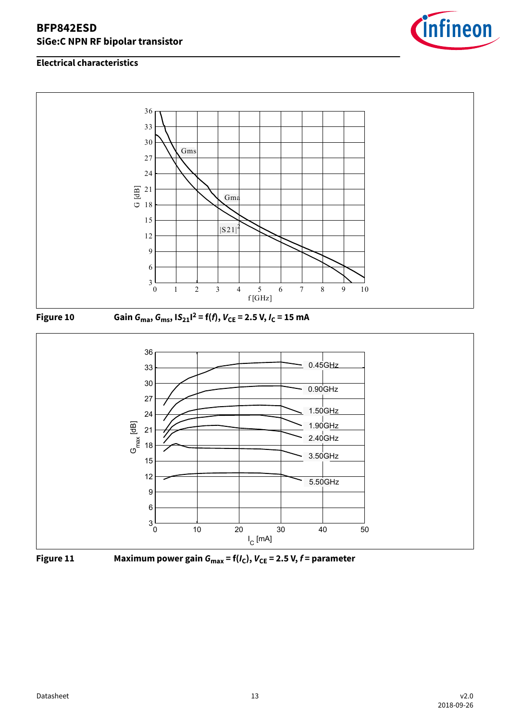









**Figure 11 Maximum power gain Gmax = f(IC), VCE = 2.5 V, f = parameter**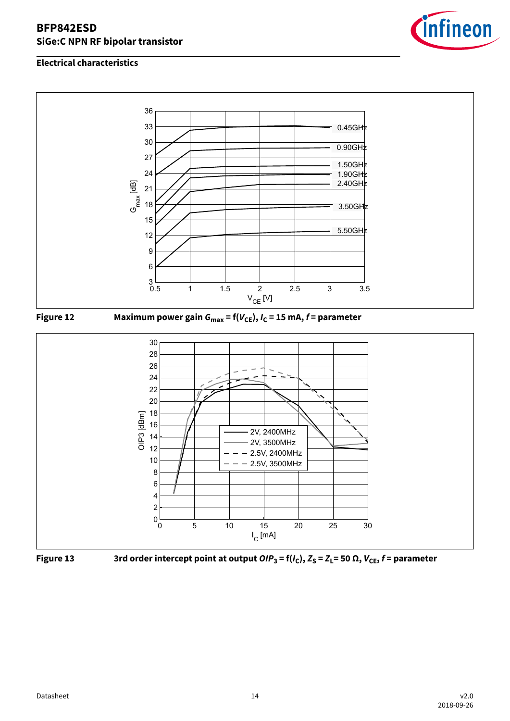







 **Figure 13** 3rd order intercept point at output  $\textsf{OIP}_3$  = f(I<sub>C</sub>),  $Z_S$  =  $Z_L$ = 50  $\Omega$ ,  $V_{\textsf{CE}}$ , f = parameter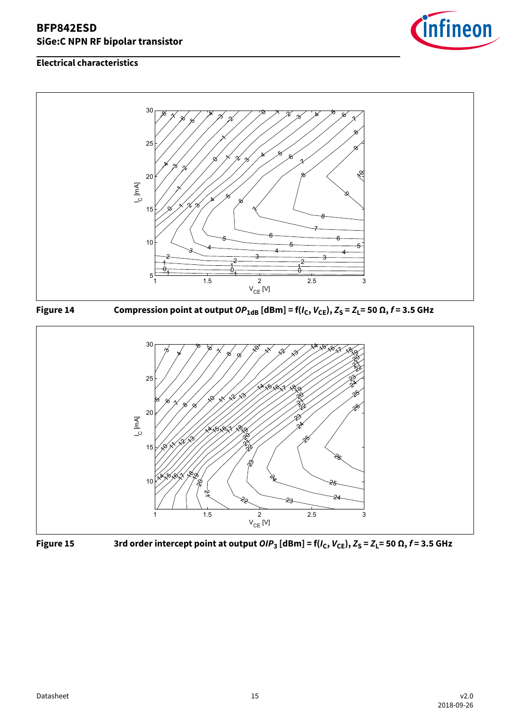



**Figure 14** Compression point at output  $OP_{1dB}$  [dBm] = f( $I_C$ ,  $V_{CE}$ ),  $Z_S = Z_L = 50 \Omega$ ,  $f = 3.5$  GHz





 **Figure 15** 3rd order intercept point at output  $\textsf{OIP}_3$  [dBm] = f( $I_\text{C}$ ,  $V_\text{CE}$ ),  $Z_\text{S}$  =  $Z_\text{L}$ = 50  $\Omega$ , f = 3.5 GHz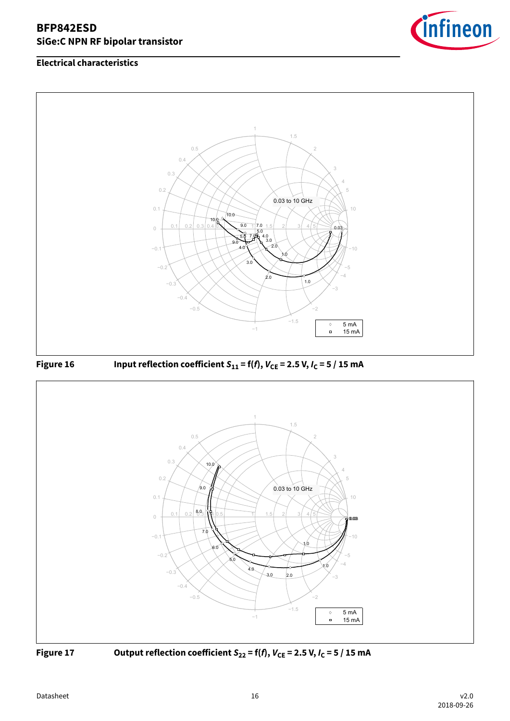







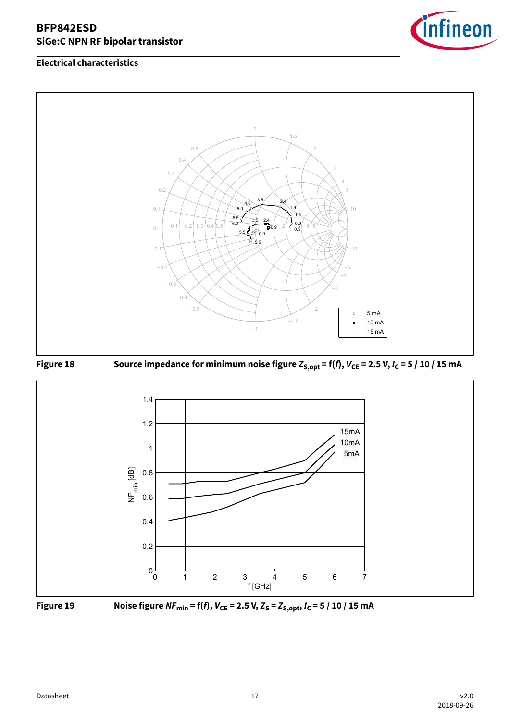









**Figure 19** Noise figure  $NF_{min} = f(f)$ ,  $V_{CE} = 2.5$  V,  $Z_S = Z_{S, opt}$ ,  $I_C = 5 / 10 / 15$  mA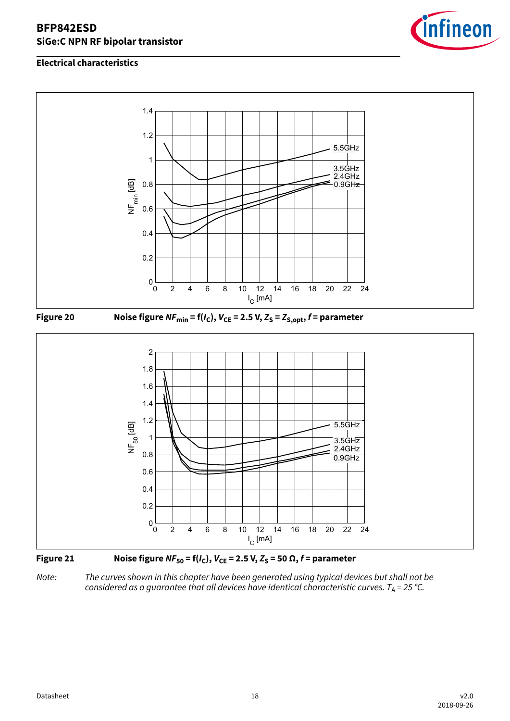

#### **Electrical characteristics**







Note: The curves shown in this chapter have been generated using typical devices but shall not be considered as a guarantee that all devices have identical characteristic curves.  $T_A = 25$  °C.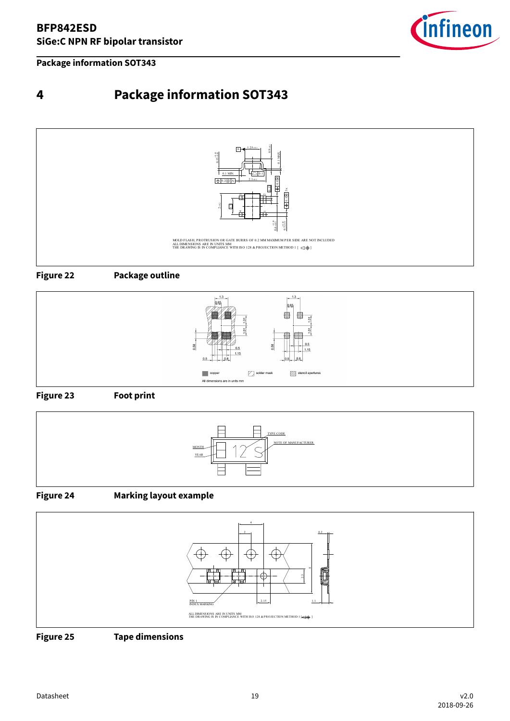<span id="page-18-0"></span>**Package information SOT343**



## **4 Package information SOT343**











#### **Figure 24 Marking layout example**



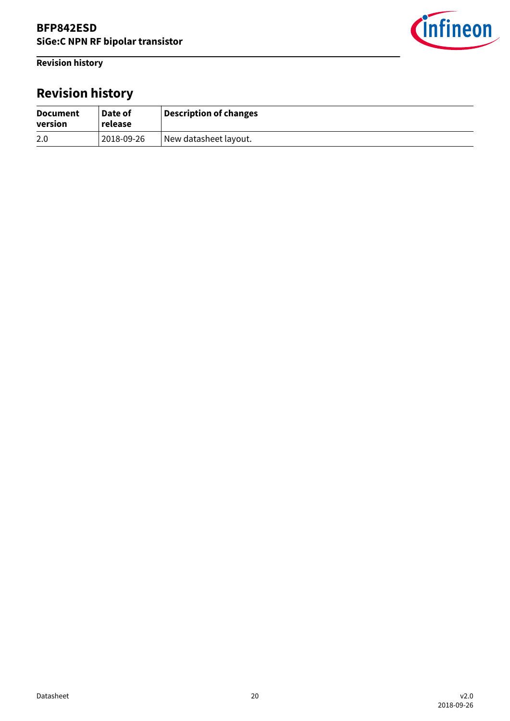<span id="page-19-0"></span>**Revision history**



# **Revision history**

| <b>Document</b><br>version | Date of<br>release | Description of changes |
|----------------------------|--------------------|------------------------|
| 2.0                        | 2018-09-26         | New datasheet layout.  |